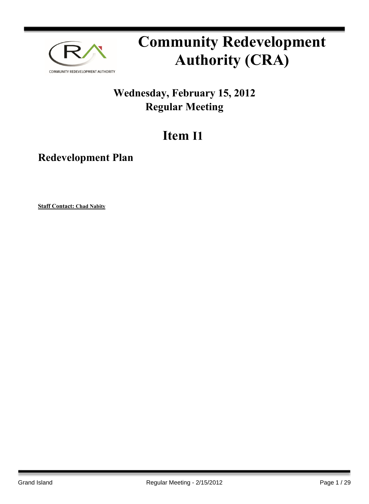

# **Community Redevelopment Authority (CRA)**

# **Wednesday, February 15, 2012 Regular Meeting**

# **Item I1**

# **Redevelopment Plan**

**Staff Contact: Chad Nabity**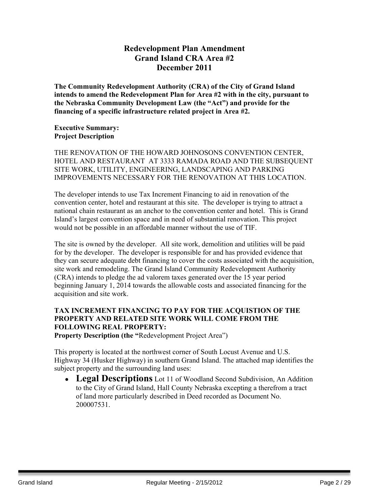# **Redevelopment Plan Amendment Grand Island CRA Area #2 December 2011**

**The Community Redevelopment Authority (CRA) of the City of Grand Island intends to amend the Redevelopment Plan for Area #2 with in the city, pursuant to the Nebraska Community Development Law (the "Act") and provide for the financing of a specific infrastructure related project in Area #2.**

#### **Executive Summary: Project Description**

THE RENOVATION OF THE HOWARD JOHNOSONS CONVENTION CENTER, HOTEL AND RESTAURANT AT 3333 RAMADA ROAD AND THE SUBSEQUENT SITE WORK, UTILITY, ENGINEERING, LANDSCAPING AND PARKING IMPROVEMENTS NECESSARY FOR THE RENOVATION AT THIS LOCATION.

The developer intends to use Tax Increment Financing to aid in renovation of the convention center, hotel and restaurant at this site. The developer is trying to attract a national chain restaurant as an anchor to the convention center and hotel. This is Grand Island's largest convention space and in need of substantial renovation. This project would not be possible in an affordable manner without the use of TIF.

The site is owned by the developer. All site work, demolition and utilities will be paid for by the developer. The developer is responsible for and has provided evidence that they can secure adequate debt financing to cover the costs associated with the acquisition, site work and remodeling. The Grand Island Community Redevelopment Authority (CRA) intends to pledge the ad valorem taxes generated over the 15 year period beginning January 1, 2014 towards the allowable costs and associated financing for the acquisition and site work.

## **TAX INCREMENT FINANCING TO PAY FOR THE ACQUISTION OF THE PROPERTY AND RELATED SITE WORK WILL COME FROM THE FOLLOWING REAL PROPERTY:**

**Property Description (the "**Redevelopment Project Area")

This property is located at the northwest corner of South Locust Avenue and U.S. Highway 34 (Husker Highway) in southern Grand Island. The attached map identifies the subject property and the surrounding land uses:

 **Legal Descriptions** Lot 11 of Woodland Second Subdivision, An Addition to the City of Grand Island, Hall County Nebraska excepting a therefrom a tract of land more particularly described in Deed recorded as Document No. 200007531.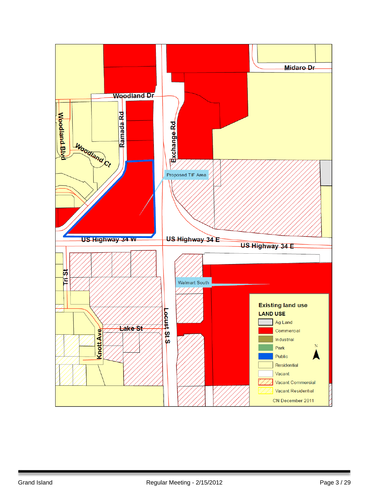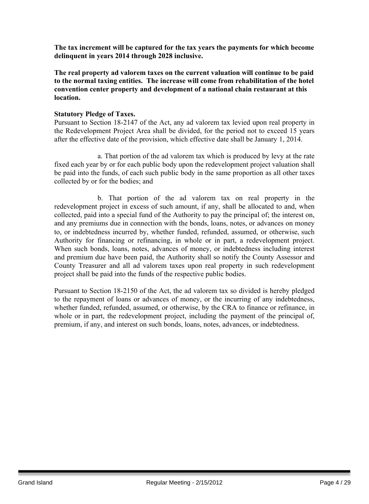**The tax increment will be captured for the tax years the payments for which become delinquent in years 2014 through 2028 inclusive.**

**The real property ad valorem taxes on the current valuation will continue to be paid to the normal taxing entities. The increase will come from rehabilitation of the hotel convention center property and development of a national chain restaurant at this location.**

#### **Statutory Pledge of Taxes.**

Pursuant to Section 18-2147 of the Act, any ad valorem tax levied upon real property in the Redevelopment Project Area shall be divided, for the period not to exceed 15 years after the effective date of the provision, which effective date shall be January 1, 2014.

a. That portion of the ad valorem tax which is produced by levy at the rate fixed each year by or for each public body upon the redevelopment project valuation shall be paid into the funds, of each such public body in the same proportion as all other taxes collected by or for the bodies; and

b. That portion of the ad valorem tax on real property in the redevelopment project in excess of such amount, if any, shall be allocated to and, when collected, paid into a special fund of the Authority to pay the principal of; the interest on, and any premiums due in connection with the bonds, loans, notes, or advances on money to, or indebtedness incurred by, whether funded, refunded, assumed, or otherwise, such Authority for financing or refinancing, in whole or in part, a redevelopment project. When such bonds, loans, notes, advances of money, or indebtedness including interest and premium due have been paid, the Authority shall so notify the County Assessor and County Treasurer and all ad valorem taxes upon real property in such redevelopment project shall be paid into the funds of the respective public bodies.

Pursuant to Section 18-2150 of the Act, the ad valorem tax so divided is hereby pledged to the repayment of loans or advances of money, or the incurring of any indebtedness, whether funded, refunded, assumed, or otherwise, by the CRA to finance or refinance, in whole or in part, the redevelopment project, including the payment of the principal of, premium, if any, and interest on such bonds, loans, notes, advances, or indebtedness.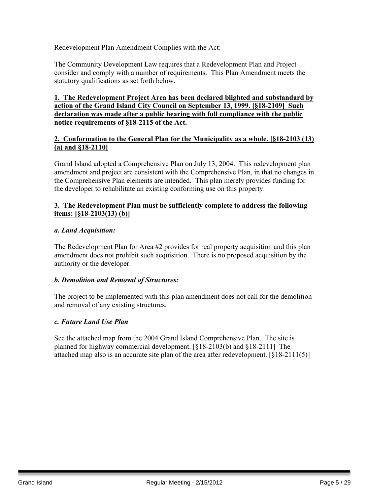Redevelopment Plan Amendment Complies with the Act:

The Community Development Law requires that a Redevelopment Plan and Project consider and comply with a number of requirements. This Plan Amendment meets the statutory qualifications as set forth below.

#### **1. The Redevelopment Project Area has been declared blighted and substandard by action of the Grand Island City Council on September 13, 1999. [§18-2109] Such declaration was made after a public hearing with full compliance with the public notice requirements of §18-2115 of the Act.**

#### **2. Conformation to the General Plan for the Municipality as a whole. [§18-2103 (13) (a) and §18-2110]**

Grand Island adopted a Comprehensive Plan on July 13, 2004. This redevelopment plan amendment and project are consistent with the Comprehensive Plan, in that no changes in the Comprehensive Plan elements are intended. This plan merely provides funding for the developer to rehabilitate an existing conforming use on this property.

#### **3. The Redevelopment Plan must be sufficiently complete to address the following items: [§18-2103(13) (b)]**

#### *a. Land Acquisition:*

The Redevelopment Plan for Area #2 provides for real property acquisition and this plan amendment does not prohibit such acquisition. There is no proposed acquisition by the authority or the developer.

#### *b. Demolition and Removal of Structures:*

The project to be implemented with this plan amendment does not call for the demolition and removal of any existing structures.

#### *c. Future Land Use Plan*

See the attached map from the 2004 Grand Island Comprehensive Plan. The site is planned for highway commercial development. [§18-2103(b) and §18-2111] The attached map also is an accurate site plan of the area after redevelopment. [§18-2111(5)]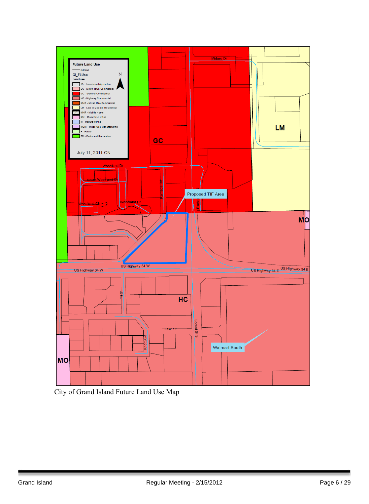

City of Grand Island Future Land Use Map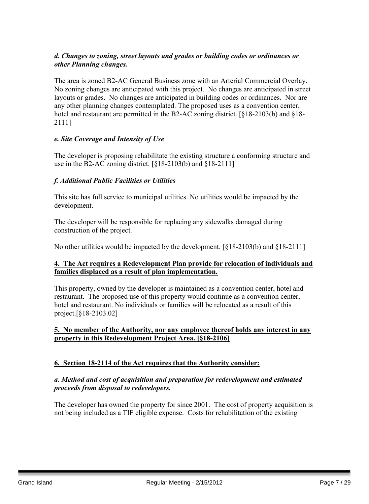#### *d. Changes to zoning, street layouts and grades or building codes or ordinances or other Planning changes.*

The area is zoned B2-AC General Business zone with an Arterial Commercial Overlay. No zoning changes are anticipated with this project. No changes are anticipated in street layouts or grades. No changes are anticipated in building codes or ordinances. Nor are any other planning changes contemplated. The proposed uses as a convention center, hotel and restaurant are permitted in the B2-AC zoning district. [§18-2103(b) and §18- 2111]

#### *e. Site Coverage and Intensity of Use*

The developer is proposing rehabilitate the existing structure a conforming structure and use in the B2-AC zoning district. [§18-2103(b) and §18-2111]

#### *f. Additional Public Facilities or Utilities*

This site has full service to municipal utilities. No utilities would be impacted by the development.

The developer will be responsible for replacing any sidewalks damaged during construction of the project.

No other utilities would be impacted by the development. [§18-2103(b) and §18-2111]

#### **4. The Act requires a Redevelopment Plan provide for relocation of individuals and families displaced as a result of plan implementation.**

This property, owned by the developer is maintained as a convention center, hotel and restaurant. The proposed use of this property would continue as a convention center, hotel and restaurant. No individuals or families will be relocated as a result of this project.[§18-2103.02]

#### **5. No member of the Authority, nor any employee thereof holds any interest in any property in this Redevelopment Project Area. [§18-2106]**

#### **6. Section 18-2114 of the Act requires that the Authority consider:**

#### *a. Method and cost of acquisition and preparation for redevelopment and estimated proceeds from disposal to redevelopers.*

The developer has owned the property for since 2001. The cost of property acquisition is not being included as a TIF eligible expense. Costs for rehabilitation of the existing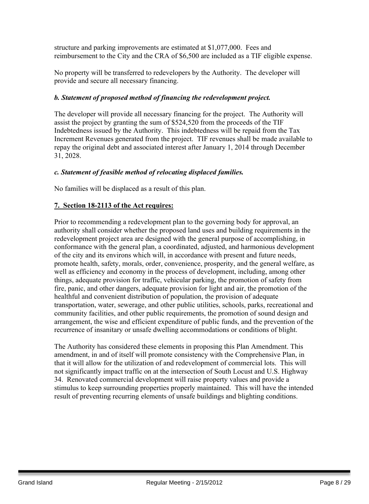structure and parking improvements are estimated at \$1,077,000. Fees and reimbursement to the City and the CRA of \$6,500 are included as a TIF eligible expense.

No property will be transferred to redevelopers by the Authority. The developer will provide and secure all necessary financing.

#### *b. Statement of proposed method of financing the redevelopment project.*

The developer will provide all necessary financing for the project. The Authority will assist the project by granting the sum of \$524,520 from the proceeds of the TIF Indebtedness issued by the Authority. This indebtedness will be repaid from the Tax Increment Revenues generated from the project. TIF revenues shall be made available to repay the original debt and associated interest after January 1, 2014 through December 31, 2028.

#### *c. Statement of feasible method of relocating displaced families.*

No families will be displaced as a result of this plan.

#### **7. Section 18-2113 of the Act requires:**

Prior to recommending a redevelopment plan to the governing body for approval, an authority shall consider whether the proposed land uses and building requirements in the redevelopment project area are designed with the general purpose of accomplishing, in conformance with the general plan, a coordinated, adjusted, and harmonious development of the city and its environs which will, in accordance with present and future needs, promote health, safety, morals, order, convenience, prosperity, and the general welfare, as well as efficiency and economy in the process of development, including, among other things, adequate provision for traffic, vehicular parking, the promotion of safety from fire, panic, and other dangers, adequate provision for light and air, the promotion of the healthful and convenient distribution of population, the provision of adequate transportation, water, sewerage, and other public utilities, schools, parks, recreational and community facilities, and other public requirements, the promotion of sound design and arrangement, the wise and efficient expenditure of public funds, and the prevention of the recurrence of insanitary or unsafe dwelling accommodations or conditions of blight.

The Authority has considered these elements in proposing this Plan Amendment. This amendment, in and of itself will promote consistency with the Comprehensive Plan, in that it will allow for the utilization of and redevelopment of commercial lots. This will not significantly impact traffic on at the intersection of South Locust and U.S. Highway 34. Renovated commercial development will raise property values and provide a stimulus to keep surrounding properties properly maintained. This will have the intended result of preventing recurring elements of unsafe buildings and blighting conditions.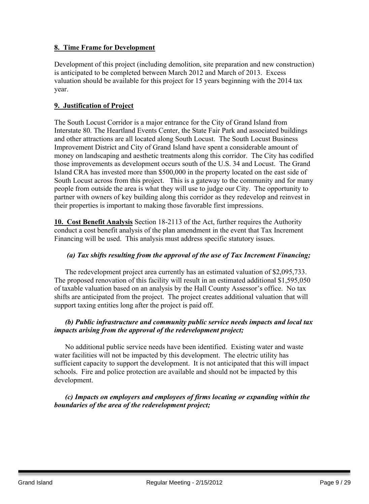#### **8. Time Frame for Development**

Development of this project (including demolition, site preparation and new construction) is anticipated to be completed between March 2012 and March of 2013. Excess valuation should be available for this project for 15 years beginning with the 2014 tax year.

#### **9. Justification of Project**

The South Locust Corridor is a major entrance for the City of Grand Island from Interstate 80. The Heartland Events Center, the State Fair Park and associated buildings and other attractions are all located along South Locust. The South Locust Business Improvement District and City of Grand Island have spent a considerable amount of money on landscaping and aesthetic treatments along this corridor. The City has codified those improvements as development occurs south of the U.S. 34 and Locust. The Grand Island CRA has invested more than \$500,000 in the property located on the east side of South Locust across from this project. This is a gateway to the community and for many people from outside the area is what they will use to judge our City. The opportunity to partner with owners of key building along this corridor as they redevelop and reinvest in their properties is important to making those favorable first impressions.

**10. Cost Benefit Analysis** Section 18-2113 of the Act, further requires the Authority conduct a cost benefit analysis of the plan amendment in the event that Tax Increment Financing will be used. This analysis must address specific statutory issues.

#### *(a) Tax shifts resulting from the approval of the use of Tax Increment Financing;*

The redevelopment project area currently has an estimated valuation of \$2,095,733. The proposed renovation of this facility will result in an estimated additional \$1,595,050 of taxable valuation based on an analysis by the Hall County Assessor's office. No tax shifts are anticipated from the project. The project creates additional valuation that will support taxing entities long after the project is paid off.

#### *(b) Public infrastructure and community public service needs impacts and local tax impacts arising from the approval of the redevelopment project;*

No additional public service needs have been identified. Existing water and waste water facilities will not be impacted by this development. The electric utility has sufficient capacity to support the development. It is not anticipated that this will impact schools. Fire and police protection are available and should not be impacted by this development.

#### *(c) Impacts on employers and employees of firms locating or expanding within the boundaries of the area of the redevelopment project;*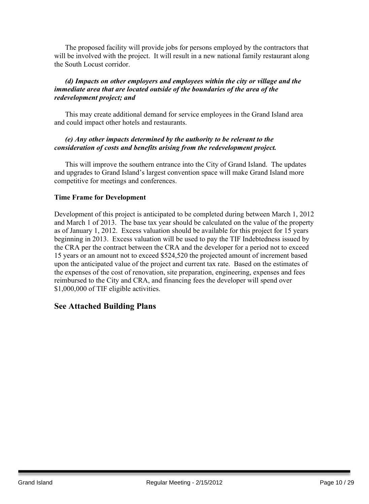The proposed facility will provide jobs for persons employed by the contractors that will be involved with the project. It will result in a new national family restaurant along the South Locust corridor.

#### *(d) Impacts on other employers and employees within the city or village and the immediate area that are located outside of the boundaries of the area of the redevelopment project; and*

This may create additional demand for service employees in the Grand Island area and could impact other hotels and restaurants.

#### *(e) Any other impacts determined by the authority to be relevant to the consideration of costs and benefits arising from the redevelopment project.*

This will improve the southern entrance into the City of Grand Island. The updates and upgrades to Grand Island's largest convention space will make Grand Island more competitive for meetings and conferences.

#### **Time Frame for Development**

Development of this project is anticipated to be completed during between March 1, 2012 and March 1 of 2013. The base tax year should be calculated on the value of the property as of January 1, 2012. Excess valuation should be available for this project for 15 years beginning in 2013. Excess valuation will be used to pay the TIF Indebtedness issued by the CRA per the contract between the CRA and the developer for a period not to exceed 15 years or an amount not to exceed \$524,520 the projected amount of increment based upon the anticipated value of the project and current tax rate. Based on the estimates of the expenses of the cost of renovation, site preparation, engineering, expenses and fees reimbursed to the City and CRA, and financing fees the developer will spend over \$1,000,000 of TIF eligible activities.

### **See Attached Building Plans**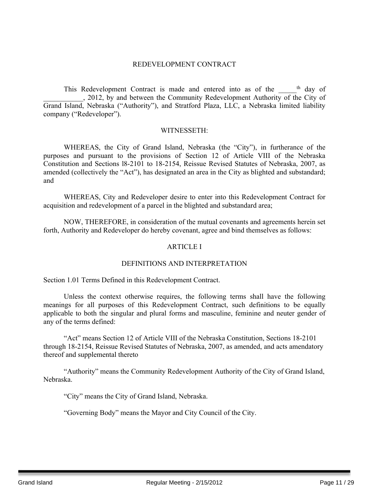#### REDEVELOPMENT CONTRACT

This Redevelopment Contract is made and entered into as of the \_\_\_\_\_<sup>th</sup> day of . 2012, by and between the Community Redevelopment Authority of the City of Grand Island, Nebraska ("Authority"), and Stratford Plaza, LLC, a Nebraska limited liability company ("Redeveloper").

#### WITNESSETH:

WHEREAS, the City of Grand Island, Nebraska (the "City"), in furtherance of the purposes and pursuant to the provisions of Section 12 of Article VIII of the Nebraska Constitution and Sections l8-2101 to 18-2154, Reissue Revised Statutes of Nebraska, 2007, as amended (collectively the "Act"), has designated an area in the City as blighted and substandard; and

WHEREAS, City and Redeveloper desire to enter into this Redevelopment Contract for acquisition and redevelopment of a parcel in the blighted and substandard area;

NOW, THEREFORE, in consideration of the mutual covenants and agreements herein set forth, Authority and Redeveloper do hereby covenant, agree and bind themselves as follows:

#### ARTICLE I

#### DEFINITIONS AND INTERPRETATION

Section 1.01 Terms Defined in this Redevelopment Contract.

Unless the context otherwise requires, the following terms shall have the following meanings for all purposes of this Redevelopment Contract, such definitions to be equally applicable to both the singular and plural forms and masculine, feminine and neuter gender of any of the terms defined:

"Act" means Section 12 of Article VIII of the Nebraska Constitution, Sections 18-2101 through 18-2154, Reissue Revised Statutes of Nebraska, 2007, as amended, and acts amendatory thereof and supplemental thereto

"Authority" means the Community Redevelopment Authority of the City of Grand Island, Nebraska.

"City" means the City of Grand Island, Nebraska.

"Governing Body" means the Mayor and City Council of the City.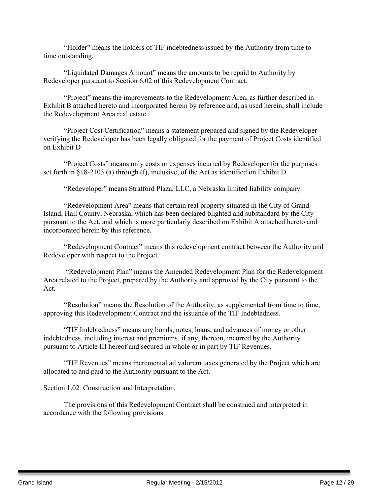"Holder" means the holders of TIF indebtedness issued by the Authority from time to time outstanding.

"Liquidated Damages Amount" means the amounts to be repaid to Authority by Redeveloper pursuant to Section 6.02 of this Redevelopment Contract.

"Project" means the improvements to the Redevelopment Area, as further described in Exhibit B attached hereto and incorporated herein by reference and, as used herein, shall include the Redevelopment Area real estate.

"Project Cost Certification" means a statement prepared and signed by the Redeveloper verifying the Redeveloper has been legally obligated for the payment of Project Costs identified on Exhibit D

"Project Costs" means only costs or expenses incurred by Redeveloper for the purposes set forth in §18-2103 (a) through (f), inclusive, of the Act as identified on Exhibit D.

"Redeveloper" means Stratford Plaza, LLC, a Nebraska limited liability company.

"Redevelopment Area" means that certain real property situated in the City of Grand Island, Hall County, Nebraska, which has been declared blighted and substandard by the City pursuant to the Act, and which is more particularly described on Exhibit A attached hereto and incorporated herein by this reference.

"Redevelopment Contract" means this redevelopment contract between the Authority and Redeveloper with respect to the Project.

"Redevelopment Plan" means the Amended Redevelopment Plan for the Redevelopment Area related to the Project, prepared by the Authority and approved by the City pursuant to the Act.

"Resolution" means the Resolution of the Authority, as supplemented from time to time, approving this Redevelopment Contract and the issuance of the TIF Indebtedness.

"TIF Indebtedness" means any bonds, notes, loans, and advances of money or other indebtedness, including interest and premiums, if any, thereon, incurred by the Authority pursuant to Article III hereof and secured in whole or in part by TIF Revenues.

"TIF Revenues" means incremental ad valorem taxes generated by the Project which are allocated to and paid to the Authority pursuant to the Act.

Section 1.02 Construction and Interpretation.

The provisions of this Redevelopment Contract shall be construed and interpreted in accordance with the following provisions: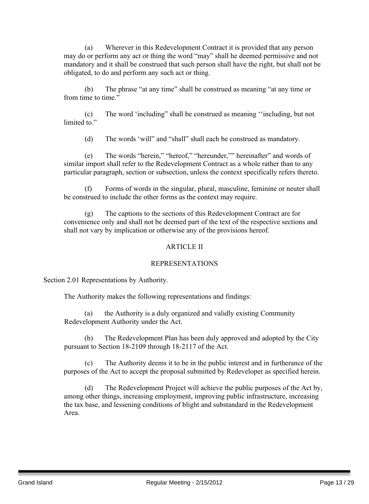(a) Wherever in this Redevelopment Contract it is provided that any person may do or perform any act or thing the word "may" shall he deemed permissive and not mandatory and it shall be construed that such person shall have the right, but shall not be obligated, to do and perform any such act or thing.

(b) The phrase "at any time" shall be construed as meaning "at any time or from time to time."

(c) The word 'including" shall be construed as meaning ''including, but not limited to"

(d) The words 'will" and "shall" shall each be construed as mandatory.

(e) The words "herein," "hereof," "hereunder,"" hereinafter" and words of similar import shall refer to the Redevelopment Contract as a whole rather than to any particular paragraph, section or subsection, unless the context specifically refers thereto.

(f) Forms of words in the singular, plural, masculine, feminine or neuter shall be construed to include the other forms as the context may require.

(g) The captions to the sections of this Redevelopment Contract are for convenience only and shall not be deemed part of the text of the respective sections and shall not vary by implication or otherwise any of the provisions hereof.

#### ARTICLE II

#### REPRESENTATIONS

Section 2.01 Representations by Authority.

The Authority makes the following representations and findings:

(a) the Authority is a duly organized and validly existing Community Redevelopment Authority under the Act.

(b) The Redevelopment Plan has been duly approved and adopted by the City pursuant to Section 18-2109 through 18-2117 of the Act.

(c) The Authority deems it to be in the public interest and in furtherance of the purposes of the Act to accept the proposal submitted by Redeveloper as specified herein.

(d) The Redevelopment Project will achieve the public purposes of the Act by, among other things, increasing employment, improving public infrastructure, increasing the tax base, and lessening conditions of blight and substandard in the Redevelopment Area.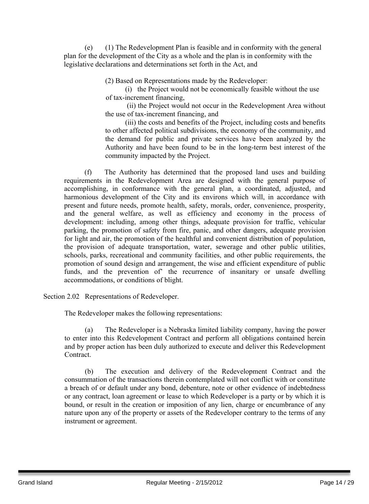(e) (1) The Redevelopment Plan is feasible and in conformity with the general plan for the development of the City as a whole and the plan is in conformity with the legislative declarations and determinations set forth in the Act, and

(2) Based on Representations made by the Redeveloper:

(i) the Project would not be economically feasible without the use of tax-increment financing,

(ii) the Project would not occur in the Redevelopment Area without the use of tax-increment financing, and

(iii) the costs and benefits of the Project, including costs and benefits to other affected political subdivisions, the economy of the community, and the demand for public and private services have been analyzed by the Authority and have been found to be in the long-term best interest of the community impacted by the Project.

(f) The Authority has determined that the proposed land uses and building requirements in the Redevelopment Area are designed with the general purpose of accomplishing, in conformance with the general plan, a coordinated, adjusted, and harmonious development of the City and its environs which will, in accordance with present and future needs, promote health, safety, morals, order, convenience, prosperity, and the general welfare, as well as efficiency and economy in the process of development: including, among other things, adequate provision for traffic, vehicular parking, the promotion of safety from fire, panic, and other dangers, adequate provision for light and air, the promotion of the healthful and convenient distribution of population, the provision of adequate transportation, water, sewerage and other public utilities, schools, parks, recreational and community facilities, and other public requirements, the promotion of sound design and arrangement, the wise and efficient expenditure of public funds, and the prevention of' the recurrence of insanitary or unsafe dwelling accommodations, or conditions of blight.

Section 2.02 Representations of Redeveloper.

The Redeveloper makes the following representations:

(a) The Redeveloper is a Nebraska limited liability company, having the power to enter into this Redevelopment Contract and perform all obligations contained herein and by proper action has been duly authorized to execute and deliver this Redevelopment **Contract** 

(b) The execution and delivery of the Redevelopment Contract and the consummation of the transactions therein contemplated will not conflict with or constitute a breach of or default under any bond, debenture, note or other evidence of indebtedness or any contract, loan agreement or lease to which Redeveloper is a party or by which it is bound, or result in the creation or imposition of any lien, charge or encumbrance of any nature upon any of the property or assets of the Redeveloper contrary to the terms of any instrument or agreement.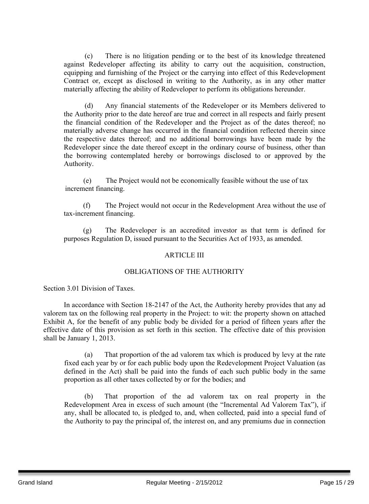(c) There is no litigation pending or to the best of its knowledge threatened against Redeveloper affecting its ability to carry out the acquisition, construction, equipping and furnishing of the Project or the carrying into effect of this Redevelopment Contract or, except as disclosed in writing to the Authority, as in any other matter materially affecting the ability of Redeveloper to perform its obligations hereunder.

(d) Any financial statements of the Redeveloper or its Members delivered to the Authority prior to the date hereof are true and correct in all respects and fairly present the financial condition of the Redeveloper and the Project as of the dates thereof; no materially adverse change has occurred in the financial condition reflected therein since the respective dates thereof; and no additional borrowings have been made by the Redeveloper since the date thereof except in the ordinary course of business, other than the borrowing contemplated hereby or borrowings disclosed to or approved by the Authority.

(e) The Project would not be economically feasible without the use of tax increment financing.

(f) The Project would not occur in the Redevelopment Area without the use of tax-increment financing.

(g) The Redeveloper is an accredited investor as that term is defined for purposes Regulation D, issued pursuant to the Securities Act of 1933, as amended.

#### ARTICLE III

#### OBLIGATIONS OF THE AUTHORITY

Section 3.01 Division of Taxes.

In accordance with Section 18-2147 of the Act, the Authority hereby provides that any ad valorem tax on the following real property in the Project: to wit: the property shown on attached Exhibit A, for the benefit of any public body be divided for a period of fifteen years after the effective date of this provision as set forth in this section. The effective date of this provision shall be January 1, 2013.

(a) That proportion of the ad valorem tax which is produced by levy at the rate fixed each year by or for each public body upon the Redevelopment Project Valuation (as defined in the Act) shall be paid into the funds of each such public body in the same proportion as all other taxes collected by or for the bodies; and

(b) That proportion of the ad valorem tax on real property in the Redevelopment Area in excess of such amount (the "Incremental Ad Valorem Tax"), if any, shall be allocated to, is pledged to, and, when collected, paid into a special fund of the Authority to pay the principal of, the interest on, and any premiums due in connection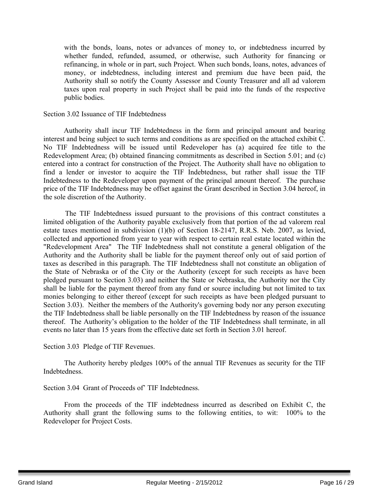with the bonds, loans, notes or advances of money to, or indebtedness incurred by whether funded, refunded, assumed, or otherwise, such Authority for financing or refinancing, in whole or in part, such Project. When such bonds, loans, notes, advances of money, or indebtedness, including interest and premium due have been paid, the Authority shall so notify the County Assessor and County Treasurer and all ad valorem taxes upon real property in such Project shall be paid into the funds of the respective public bodies.

#### Section 3.02 Issuance of TIF Indebtedness

Authority shall incur TIF Indebtedness in the form and principal amount and bearing interest and being subject to such terms and conditions as are specified on the attached exhibit C. No TIF Indebtedness will be issued until Redeveloper has (a) acquired fee title to the Redevelopment Area; (b) obtained financing commitments as described in Section 5.01; and (c) entered into a contract for construction of the Project. The Authority shall have no obligation to find a lender or investor to acquire the TIF Indebtedness, but rather shall issue the TIF Indebtedness to the Redeveloper upon payment of the principal amount thereof. The purchase price of the TIF Indebtedness may be offset against the Grant described in Section 3.04 hereof, in the sole discretion of the Authority.

The TIF Indebtedness issued pursuant to the provisions of this contract constitutes a limited obligation of the Authority payable exclusively from that portion of the ad valorem real estate taxes mentioned in subdivision (1)(b) of Section 18-2147, R.R.S. Neb. 2007, as levied, collected and apportioned from year to year with respect to certain real estate located within the "Redevelopment Area" The TIF Indebtedness shall not constitute a general obligation of the Authority and the Authority shall be liable for the payment thereof only out of said portion of taxes as described in this paragraph. The TIF Indebtedness shall not constitute an obligation of the State of Nebraska or of the City or the Authority (except for such receipts as have been pledged pursuant to Section 3.03) and neither the State or Nebraska, the Authority nor the City shall be liable for the payment thereof from any fund or source including but not limited to tax monies belonging to either thereof (except for such receipts as have been pledged pursuant to Section 3.03). Neither the members of the Authority's governing body nor any person executing the TIF Indebtedness shall be liable personally on the TIF Indebtedness by reason of the issuance thereof. The Authority's obligation to the holder of the TIF Indebtedness shall terminate, in all events no later than 15 years from the effective date set forth in Section 3.01 hereof.

Section 3.03 Pledge of TIF Revenues.

The Authority hereby pledges 100% of the annual TIF Revenues as security for the TIF Indebtedness.

Section 3.04 Grant of Proceeds of' TIF Indebtedness.

From the proceeds of the TIF indebtedness incurred as described on Exhibit C, the Authority shall grant the following sums to the following entities, to wit: 100% to the Redeveloper for Project Costs.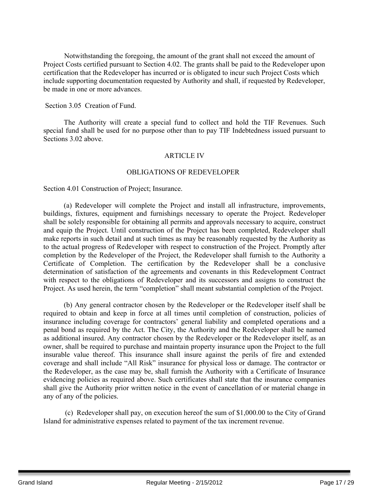Notwithstanding the foregoing, the amount of the grant shall not exceed the amount of Project Costs certified pursuant to Section 4.02. The grants shall be paid to the Redeveloper upon certification that the Redeveloper has incurred or is obligated to incur such Project Costs which include supporting documentation requested by Authority and shall, if requested by Redeveloper, be made in one or more advances.

Section 3.05 Creation of Fund.

The Authority will create a special fund to collect and hold the TIF Revenues. Such special fund shall be used for no purpose other than to pay TIF Indebtedness issued pursuant to Sections 3.02 above.

#### ARTICLE IV

#### OBLIGATIONS OF REDEVELOPER

Section 4.01 Construction of Project; Insurance.

(a) Redeveloper will complete the Project and install all infrastructure, improvements, buildings, fixtures, equipment and furnishings necessary to operate the Project. Redeveloper shall be solely responsible for obtaining all permits and approvals necessary to acquire, construct and equip the Project. Until construction of the Project has been completed, Redeveloper shall make reports in such detail and at such times as may be reasonably requested by the Authority as to the actual progress of Redeveloper with respect to construction of the Project. Promptly after completion by the Redeveloper of the Project, the Redeveloper shall furnish to the Authority a Certificate of Completion. The certification by the Redeveloper shall be a conclusive determination of satisfaction of the agreements and covenants in this Redevelopment Contract with respect to the obligations of Redeveloper and its successors and assigns to construct the Project. As used herein, the term "completion" shall meant substantial completion of the Project.

(b) Any general contractor chosen by the Redeveloper or the Redeveloper itself shall be required to obtain and keep in force at all times until completion of construction, policies of insurance including coverage for contractors' general liability and completed operations and a penal bond as required by the Act. The City, the Authority and the Redeveloper shall be named as additional insured. Any contractor chosen by the Redeveloper or the Redeveloper itself, as an owner, shall be required to purchase and maintain property insurance upon the Project to the full insurable value thereof. This insurance shall insure against the perils of fire and extended coverage and shall include "All Risk" insurance for physical loss or damage. The contractor or the Redeveloper, as the case may be, shall furnish the Authority with a Certificate of Insurance evidencing policies as required above. Such certificates shall state that the insurance companies shall give the Authority prior written notice in the event of cancellation of or material change in any of any of the policies.

(c) Redeveloper shall pay, on execution hereof the sum of \$1,000.00 to the City of Grand Island for administrative expenses related to payment of the tax increment revenue.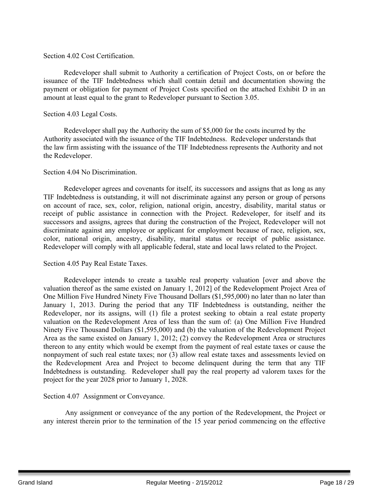#### Section 4.02 Cost Certification.

Redeveloper shall submit to Authority a certification of Project Costs, on or before the issuance of the TIF Indebtedness which shall contain detail and documentation showing the payment or obligation for payment of Project Costs specified on the attached Exhibit D in an amount at least equal to the grant to Redeveloper pursuant to Section 3.05.

#### Section 4.03 Legal Costs.

Redeveloper shall pay the Authority the sum of \$5,000 for the costs incurred by the Authority associated with the issuance of the TIF Indebtedness. Redeveloper understands that the law firm assisting with the issuance of the TIF Indebtedness represents the Authority and not the Redeveloper.

#### Section 4.04 No Discrimination.

Redeveloper agrees and covenants for itself, its successors and assigns that as long as any TIF Indebtedness is outstanding, it will not discriminate against any person or group of persons on account of race, sex, color, religion, national origin, ancestry, disability, marital status or receipt of public assistance in connection with the Project. Redeveloper, for itself and its successors and assigns, agrees that during the construction of the Project, Redeveloper will not discriminate against any employee or applicant for employment because of race, religion, sex, color, national origin, ancestry, disability, marital status or receipt of public assistance. Redeveloper will comply with all applicable federal, state and local laws related to the Project.

#### Section 4.05 Pay Real Estate Taxes.

Redeveloper intends to create a taxable real property valuation [over and above the valuation thereof as the same existed on January 1, 2012] of the Redevelopment Project Area of One Million Five Hundred Ninety Five Thousand Dollars (\$1,595,000) no later than no later than January 1, 2013. During the period that any TIF Indebtedness is outstanding, neither the Redeveloper, nor its assigns, will (1) file a protest seeking to obtain a real estate property valuation on the Redevelopment Area of less than the sum of: (a) One Million Five Hundred Ninety Five Thousand Dollars (\$1,595,000) and (b) the valuation of the Redevelopment Project Area as the same existed on January 1, 2012; (2) convey the Redevelopment Area or structures thereon to any entity which would be exempt from the payment of real estate taxes or cause the nonpayment of such real estate taxes; nor (3) allow real estate taxes and assessments levied on the Redevelopment Area and Project to become delinquent during the term that any TIF Indebtedness is outstanding. Redeveloper shall pay the real property ad valorem taxes for the project for the year 2028 prior to January 1, 2028.

#### Section 4.07 Assignment or Conveyance.

Any assignment or conveyance of the any portion of the Redevelopment, the Project or any interest therein prior to the termination of the 15 year period commencing on the effective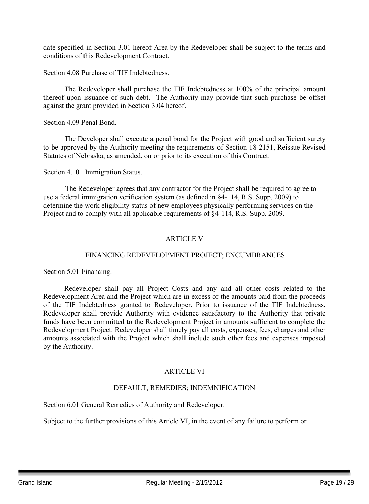date specified in Section 3.01 hereof Area by the Redeveloper shall be subject to the terms and conditions of this Redevelopment Contract.

Section 4.08 Purchase of TIF Indebtedness.

The Redeveloper shall purchase the TIF Indebtedness at 100% of the principal amount thereof upon issuance of such debt. The Authority may provide that such purchase be offset against the grant provided in Section 3.04 hereof.

Section 4.09 Penal Bond.

The Developer shall execute a penal bond for the Project with good and sufficient surety to be approved by the Authority meeting the requirements of Section 18-2151, Reissue Revised Statutes of Nebraska, as amended, on or prior to its execution of this Contract.

Section 4.10 Immigration Status.

The Redeveloper agrees that any contractor for the Project shall be required to agree to use a federal immigration verification system (as defined in §4-114, R.S. Supp. 2009) to determine the work eligibility status of new employees physically performing services on the Project and to comply with all applicable requirements of §4-114, R.S. Supp. 2009.

#### ARTICLE V

#### FINANCING REDEVELOPMENT PROJECT; ENCUMBRANCES

Section 5.01 Financing.

Redeveloper shall pay all Project Costs and any and all other costs related to the Redevelopment Area and the Project which are in excess of the amounts paid from the proceeds of the TIF Indebtedness granted to Redeveloper. Prior to issuance of the TIF Indebtedness, Redeveloper shall provide Authority with evidence satisfactory to the Authority that private funds have been committed to the Redevelopment Project in amounts sufficient to complete the Redevelopment Project. Redeveloper shall timely pay all costs, expenses, fees, charges and other amounts associated with the Project which shall include such other fees and expenses imposed by the Authority.

#### ARTICLE VI

#### DEFAULT, REMEDIES; INDEMNIFICATION

Section 6.01 General Remedies of Authority and Redeveloper.

Subject to the further provisions of this Article VI, in the event of any failure to perform or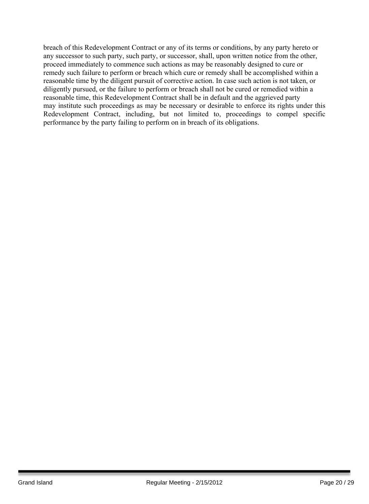breach of this Redevelopment Contract or any of its terms or conditions, by any party hereto or any successor to such party, such party, or successor, shall, upon written notice from the other, proceed immediately to commence such actions as may be reasonably designed to cure or remedy such failure to perform or breach which cure or remedy shall be accomplished within a reasonable time by the diligent pursuit of corrective action. In case such action is not taken, or diligently pursued, or the failure to perform or breach shall not be cured or remedied within a reasonable time, this Redevelopment Contract shall be in default and the aggrieved party may institute such proceedings as may be necessary or desirable to enforce its rights under this Redevelopment Contract, including, but not limited to, proceedings to compel specific performance by the party failing to perform on in breach of its obligations.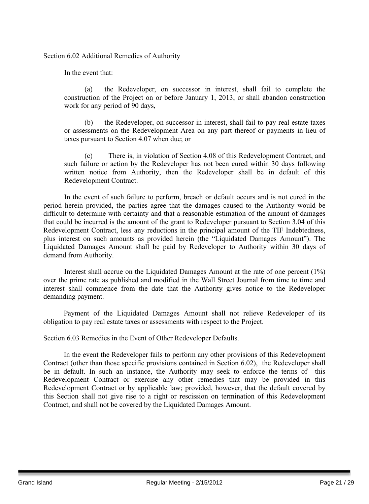Section 6.02 Additional Remedies of Authority

In the event that:

(a) the Redeveloper, on successor in interest, shall fail to complete the construction of the Project on or before January 1, 2013, or shall abandon construction work for any period of 90 days,

(b) the Redeveloper, on successor in interest, shall fail to pay real estate taxes or assessments on the Redevelopment Area on any part thereof or payments in lieu of taxes pursuant to Section 4.07 when due; or

(c) There is, in violation of Section 4.08 of this Redevelopment Contract, and such failure or action by the Redeveloper has not been cured within 30 days following written notice from Authority, then the Redeveloper shall be in default of this Redevelopment Contract.

In the event of such failure to perform, breach or default occurs and is not cured in the period herein provided, the parties agree that the damages caused to the Authority would be difficult to determine with certainty and that a reasonable estimation of the amount of damages that could be incurred is the amount of the grant to Redeveloper pursuant to Section 3.04 of this Redevelopment Contract, less any reductions in the principal amount of the TIF Indebtedness, plus interest on such amounts as provided herein (the "Liquidated Damages Amount"). The Liquidated Damages Amount shall be paid by Redeveloper to Authority within 30 days of demand from Authority.

Interest shall accrue on the Liquidated Damages Amount at the rate of one percent (1%) over the prime rate as published and modified in the Wall Street Journal from time to time and interest shall commence from the date that the Authority gives notice to the Redeveloper demanding payment.

Payment of the Liquidated Damages Amount shall not relieve Redeveloper of its obligation to pay real estate taxes or assessments with respect to the Project.

Section 6.03 Remedies in the Event of Other Redeveloper Defaults.

In the event the Redeveloper fails to perform any other provisions of this Redevelopment Contract (other than those specific provisions contained in Section 6.02), the Redeveloper shall be in default. In such an instance, the Authority may seek to enforce the terms of this Redevelopment Contract or exercise any other remedies that may be provided in this Redevelopment Contract or by applicable law; provided, however, that the default covered by this Section shall not give rise to a right or rescission on termination of this Redevelopment Contract, and shall not be covered by the Liquidated Damages Amount.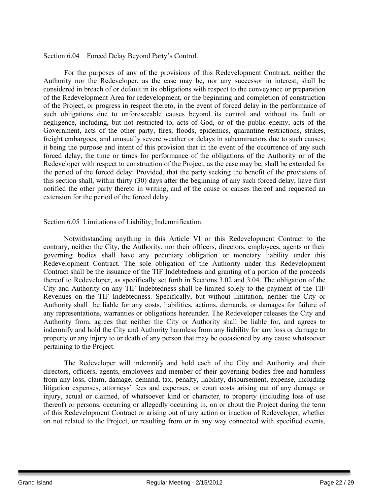#### Section 6.04 Forced Delay Beyond Party's Control.

For the purposes of any of the provisions of this Redevelopment Contract, neither the Authority nor the Redeveloper, as the case may be, nor any successor in interest, shall be considered in breach of or default in its obligations with respect to the conveyance or preparation of the Redevelopment Area for redevelopment, or the beginning and completion of construction of the Project, or progress in respect thereto, in the event of forced delay in the performance of such obligations due to unforeseeable causes beyond its control and without its fault or negligence, including, but not restricted to, acts of God, or of the public enemy, acts of the Government, acts of the other party, fires, floods, epidemics, quarantine restrictions, strikes, freight embargoes, and unusually severe weather or delays in subcontractors due to such causes; it being the purpose and intent of this provision that in the event of the occurrence of any such forced delay, the time or times for performance of the obligations of the Authority or of the Redeveloper with respect to construction of the Project, as the case may be, shall be extended for the period of the forced delay: Provided, that the party seeking the benefit of the provisions of this section shall, within thirty (30) days after the beginning of any such forced delay, have first notified the other party thereto in writing, and of the cause or causes thereof and requested an extension for the period of the forced delay.

Section 6.05 Limitations of Liability; Indemnification.

Notwithstanding anything in this Article VI or this Redevelopment Contract to the contrary, neither the City, the Authority, nor their officers, directors, employees, agents or their governing bodies shall have any pecuniary obligation or monetary liability under this Redevelopment Contract. The sole obligation of the Authority under this Redevelopment Contract shall be the issuance of the TIF Indebtedness and granting of a portion of the proceeds thereof to Redeveloper, as specifically set forth in Sections 3.02 and 3.04. The obligation of the City and Authority on any TIF Indebtedness shall be limited solely to the payment of the TIF Revenues on the TIF Indebtedness. Specifically, but without limitation, neither the City or Authority shall be liable for any costs, liabilities, actions, demands, or damages for failure of any representations, warranties or obligations hereunder. The Redeveloper releases the City and Authority from, agrees that neither the City or Authority shall be liable for, and agrees to indemnify and hold the City and Authority harmless from any liability for any loss or damage to property or any injury to or death of any person that may be occasioned by any cause whatsoever pertaining to the Project.

The Redeveloper will indemnify and hold each of the City and Authority and their directors, officers, agents, employees and member of their governing bodies free and harmless from any loss, claim, damage, demand, tax, penalty, liability, disbursement, expense, including litigation expenses, attorneys' fees and expenses, or court costs arising out of any damage or injury, actual or claimed, of whatsoever kind or character, to property (including loss of use thereof) or persons, occurring or allegedly occurring in, on or about the Project during the term of this Redevelopment Contract or arising out of any action or inaction of Redeveloper, whether on not related to the Project, or resulting from or in any way connected with specified events,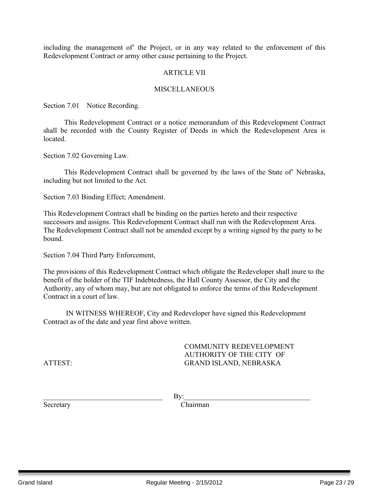including the management of' the Project, or in any way related to the enforcement of this Redevelopment Contract or army other cause pertaining to the Project.

#### **ARTICLE VII**

#### **MISCELLANEOUS**

Section 7.01 Notice Recording.

This Redevelopment Contract or a notice memorandum of this Redevelopment Contract shall be recorded with the County Register of Deeds in which the Redevelopment Area is located.

Section 7.02 Governing Law.

This Redevelopment Contract shall be governed by the laws of the State of' Nebraska, including but not limited to the Act.

Section 7.03 Binding Effect; Amendment.

This Redevelopment Contract shall be binding on the parties hereto and their respective successors and assigns. This Redevelopment Contract shall run with the Redevelopment Area. The Redevelopment Contract shall not be amended except by a writing signed by the party to be bound.

Section 7.04 Third Party Enforcement,

The provisions of this Redevelopment Contract which obligate the Redeveloper shall inure to the benefit of the holder of the TIF Indebtedness, the Hall County Assessor, the City and the Authority, any of whom may, but are not obligated to enforce the terms of this Redevelopment Contract in a court of law.

IN WITNESS WHEREOF, City and Redeveloper have signed this Redevelopment Contract as of the date and year first above written.

COMMUNITY REDEVELOPMENT AUTHORITY OF THE CITY OF ATTEST: GRAND ISLAND, NEBRASKA

 $\gamma$  By:

Secretary Chairman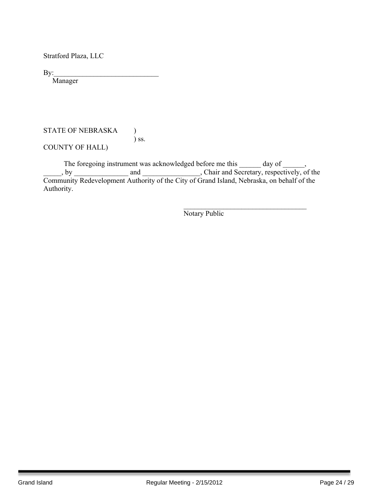Stratford Plaza, LLC

By:\_\_\_\_\_\_\_\_\_\_\_\_\_\_\_\_\_\_\_\_\_\_\_\_\_\_\_\_\_

Manager

#### STATE OF NEBRASKA ) ) ss.

COUNTY OF HALL)

The foregoing instrument was acknowledged before me this \_\_\_\_\_\_ day of \_\_\_\_\_\_, . by and and containing the secretary, respectively, of the Community Redevelopment Authority of the City of Grand Island, Nebraska, on behalf of the Authority.

Notary Public

 $\mathcal{L}_\text{max}$  , and the set of the set of the set of the set of the set of the set of the set of the set of the set of the set of the set of the set of the set of the set of the set of the set of the set of the set of the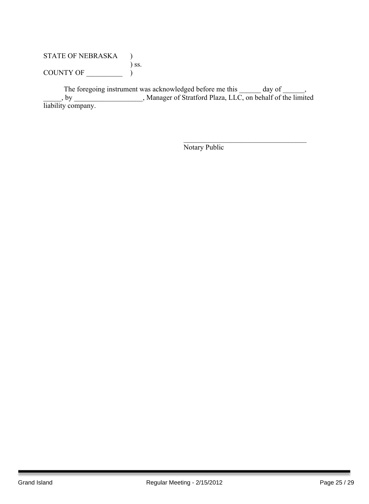## STATE OF NEBRASKA ) ) ss. COUNTY OF  $\_\_\_\_\_\_\_$

The foregoing instrument was acknowledged before me this \_\_\_\_\_\_ day of \_\_\_\_\_\_, \_\_\_\_\_, by \_\_\_\_\_\_\_\_\_\_\_\_\_\_\_\_\_\_\_, Manager of Stratford Plaza, LLC, on behalf of the limited liability company.

Notary Public

 $\mathcal{L}_\text{max}$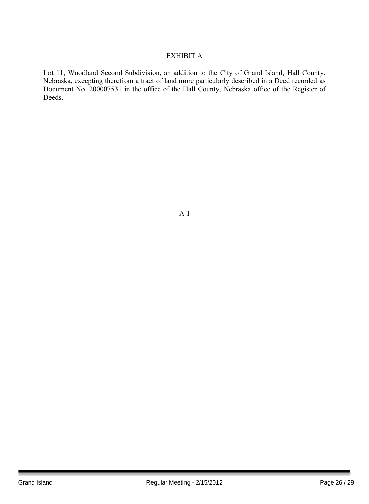#### EXHIBIT A

Lot 11, Woodland Second Subdivision, an addition to the City of Grand Island, Hall County, Nebraska, excepting therefrom a tract of land more particularly described in a Deed recorded as Document No. 200007531 in the office of the Hall County, Nebraska office of the Register of Deeds.

A-I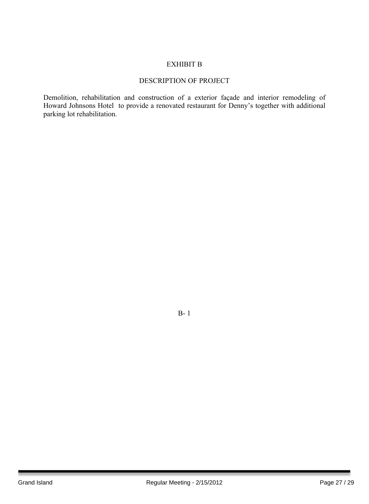#### EXHIBIT B

#### DESCRIPTION OF PROJECT

Demolition, rehabilitation and construction of a exterior façade and interior remodeling of Howard Johnsons Hotel to provide a renovated restaurant for Denny's together with additional parking lot rehabilitation.

B- 1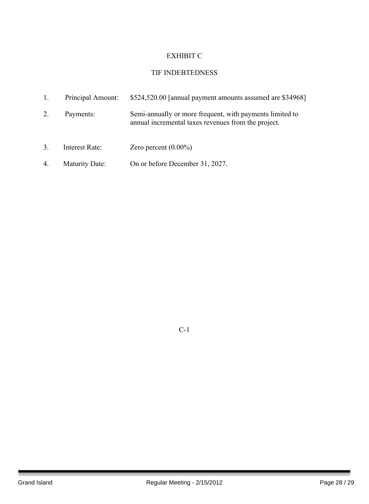# EXHIBIT C

# TIF INDEBTEDNESS

| 1.               | Principal Amount:     | \$524,520.00 [annual payment amounts assumed are \$34968]                                                       |
|------------------|-----------------------|-----------------------------------------------------------------------------------------------------------------|
| 2.               | Payments:             | Semi-annually or more frequent, with payments limited to<br>annual incremental taxes revenues from the project. |
| $\overline{3}$ . | Interest Rate:        | Zero percent $(0.00\%)$                                                                                         |
| 4.               | <b>Maturity Date:</b> | On or before December 31, 2027.                                                                                 |

C-1